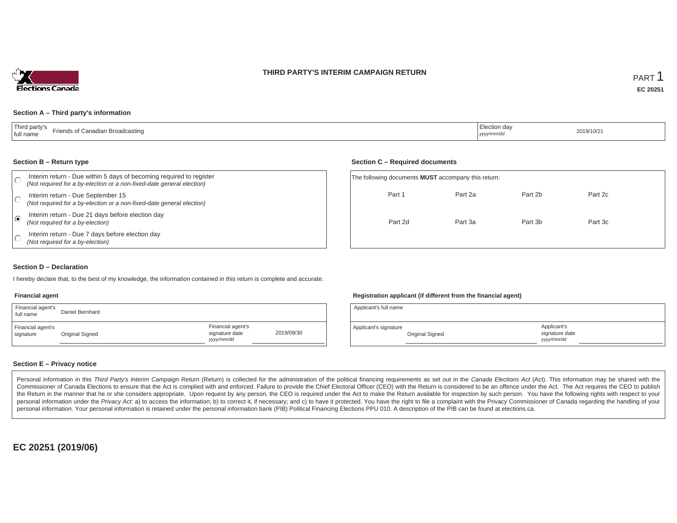#### **THIRD PARTY'S INTERIM CAMPAIGN RETURN**



#### **Section A – Third party's information**

| Third party's<br>inadian Broadcasting<br>r<br>ּח אי<br>tull name | ection dav<br>yyyy/mm/da | 2019/10/2 |
|------------------------------------------------------------------|--------------------------|-----------|
|------------------------------------------------------------------|--------------------------|-----------|

#### **Section B – Return type**

|   | Interim return - Due within 5 days of becoming required to register<br>(Not required for a by-election or a non-fixed-date general election) | The following documents <b>MUST</b> accompany this return: |         |         |         |  |
|---|----------------------------------------------------------------------------------------------------------------------------------------------|------------------------------------------------------------|---------|---------|---------|--|
|   | Interim return - Due September 15<br>(Not required for a by-election or a non-fixed-date general election)                                   | Part 1                                                     | Part 2a | Part 2b | Part 2c |  |
| € | Interim return - Due 21 days before election day<br>(Not required for a by-election)                                                         | Part 2d                                                    | Part 3a | Part 3b | Part 3c |  |
|   | Interim return - Due 7 days before election day<br>(Not required for a by-election)                                                          |                                                            |         |         |         |  |

#### **Section D – Declaration**

I hereby declare that, to the best of my knowledge, the information contained in this return is complete and accurate.

#### **Financial agent**

| Financial agent's<br>full name | Daniel Bernhard |                                                  |            |
|--------------------------------|-----------------|--------------------------------------------------|------------|
| Financial agent's<br>signature | Original Signed | Financial agent's<br>signature date<br>vyy/mm/dd | 2019/09/30 |

#### **Registration applicant (if different from the financial agent)**

**Section C – Required documents**

| Applicant's full name |                 |                                            |  |
|-----------------------|-----------------|--------------------------------------------|--|
| Applicant's signature | Original Signed | Applicant's<br>signature date<br>vyy/mm/dd |  |

#### **Section E – Privacy notice**

Personal information in this Third Party's Interim Campaign Return (Return) is collected for the administration of the political financing requirements as set out in the Canada Elections Act (Act). This information may be Commissioner of Canada Elections to ensure that the Act is complied with and enforced. Failure to provide the Chief Electoral Officer (CEO) with the Return is considered to be an offence under the Act. The Act requires the the Return in the manner that he or she considers appropriate. Upon request by any person, the CEO is required under the Act to make the Return available for inspection by such person. You have the following rights with re personal information under the Privacy Act. a) to access the information; b) to correct it, if necessary; and c) to have it protected. You have the right to file a complaint with the Privacy Commissioner of Canada regardin personal information. Your personal information is retained under the personal information bank (PIB) Political Financing Elections PPU 010. A description of the PIB can be found at elections.ca.

**EC 20251 (2019/06)**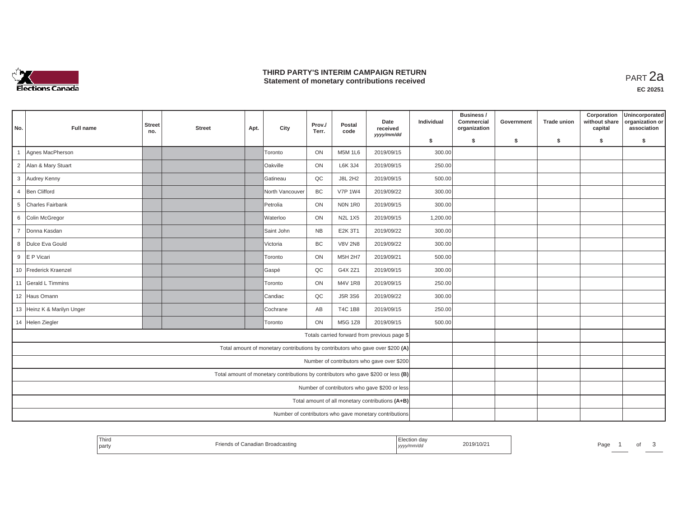

## **THIRD PARTY'S INTERIM CAMPAIGN RETURN THIRD PARTY'S INTERIM CAMPAIGN RETURN<br>Statement of monetary contributions received PART 2a**

| No.                                           | Full name                  | <b>Street</b><br>no. | <b>Street</b> | Apt. | City                                                                              | Prov./<br>Terr. | Postal<br>code | Date<br>received<br>yyyy/mm/dd                   | Individual | Business /<br>Commercial<br>organization | Government | <b>Trade union</b> | Corporation<br>without share<br>capital | Unincorporated<br>organization or<br>association |
|-----------------------------------------------|----------------------------|----------------------|---------------|------|-----------------------------------------------------------------------------------|-----------------|----------------|--------------------------------------------------|------------|------------------------------------------|------------|--------------------|-----------------------------------------|--------------------------------------------------|
|                                               |                            |                      |               |      |                                                                                   |                 |                |                                                  | \$         | s.                                       | \$         | S.                 | \$                                      | \$                                               |
| $\overline{1}$                                | Agnes MacPherson           |                      |               |      | Toronto                                                                           | ON              | <b>M5M 1L6</b> | 2019/09/15                                       | 300.00     |                                          |            |                    |                                         |                                                  |
| $\overline{2}$                                | Alan & Mary Stuart         |                      |               |      | Oakville                                                                          | ON              | <b>L6K 3J4</b> | 2019/09/15                                       | 250.00     |                                          |            |                    |                                         |                                                  |
| 3                                             | Audrey Kenny               |                      |               |      | Gatineau                                                                          | QC              | <b>J8L 2H2</b> | 2019/09/15                                       | 500.00     |                                          |            |                    |                                         |                                                  |
| $\overline{4}$                                | Ben Clifford               |                      |               |      | North Vancouver                                                                   | BC              | <b>V7P 1W4</b> | 2019/09/22                                       | 300.00     |                                          |            |                    |                                         |                                                  |
| 5                                             | Charles Fairbank           |                      |               |      | Petrolia                                                                          | ON              | NON 1R0        | 2019/09/15                                       | 300.00     |                                          |            |                    |                                         |                                                  |
| 6                                             | Colin McGregor             |                      |               |      | Waterloo                                                                          | ON              | <b>N2L 1X5</b> | 2019/09/15                                       | 1,200.00   |                                          |            |                    |                                         |                                                  |
| $\overline{7}$                                | Donna Kasdan               |                      |               |      | Saint John                                                                        | <b>NB</b>       | E2K 3T1        | 2019/09/22                                       | 300.00     |                                          |            |                    |                                         |                                                  |
| 8                                             | Dulce Eva Gould            |                      |               |      | Victoria                                                                          | BC              | <b>V8V 2N8</b> | 2019/09/22                                       | 300.00     |                                          |            |                    |                                         |                                                  |
|                                               | 9 E P Vicari               |                      |               |      | Toronto                                                                           | ON              | M5H 2H7        | 2019/09/21                                       | 500.00     |                                          |            |                    |                                         |                                                  |
|                                               | 10 Frederick Kraenzel      |                      |               |      | Gaspé                                                                             | QC              | G4X 2Z1        | 2019/09/15                                       | 300.00     |                                          |            |                    |                                         |                                                  |
|                                               | 11 Gerald L Timmins        |                      |               |      | Toronto                                                                           | ON              | M4V 1R8        | 2019/09/15                                       | 250.00     |                                          |            |                    |                                         |                                                  |
|                                               | 12 Haus Omann              |                      |               |      | Candiac                                                                           | QC              | J5R 3S6        | 2019/09/22                                       | 300.00     |                                          |            |                    |                                         |                                                  |
|                                               | 13 Heinz K & Marilyn Unger |                      |               |      | Cochrane                                                                          | AB              | <b>T4C 1B8</b> | 2019/09/15                                       | 250.00     |                                          |            |                    |                                         |                                                  |
|                                               | 14 Helen Ziegler           |                      |               |      | Toronto                                                                           | ON              | M5G 1Z8        | 2019/09/15                                       | 500.00     |                                          |            |                    |                                         |                                                  |
|                                               |                            |                      |               |      |                                                                                   |                 |                | Totals carried forward from previous page \$     |            |                                          |            |                    |                                         |                                                  |
|                                               |                            |                      |               |      | Total amount of monetary contributions by contributors who gave over \$200 (A)    |                 |                |                                                  |            |                                          |            |                    |                                         |                                                  |
|                                               |                            |                      |               |      |                                                                                   |                 |                | Number of contributors who gave over \$200       |            |                                          |            |                    |                                         |                                                  |
|                                               |                            |                      |               |      | Total amount of monetary contributions by contributors who gave \$200 or less (B) |                 |                |                                                  |            |                                          |            |                    |                                         |                                                  |
| Number of contributors who gave \$200 or less |                            |                      |               |      |                                                                                   |                 |                |                                                  |            |                                          |            |                    |                                         |                                                  |
|                                               |                            |                      |               |      |                                                                                   |                 |                | Total amount of all monetary contributions (A+B) |            |                                          |            |                    |                                         |                                                  |
|                                               |                            |                      |               |      | Number of contributors who gave monetary contributions                            |                 |                |                                                  |            |                                          |            |                    |                                         |                                                  |

| Third<br>and the control of the<br>party | Friends of Canadian Broadcasting | Election day<br>2019/10/21<br>yyyy/mm/dd | Page |
|------------------------------------------|----------------------------------|------------------------------------------|------|
|------------------------------------------|----------------------------------|------------------------------------------|------|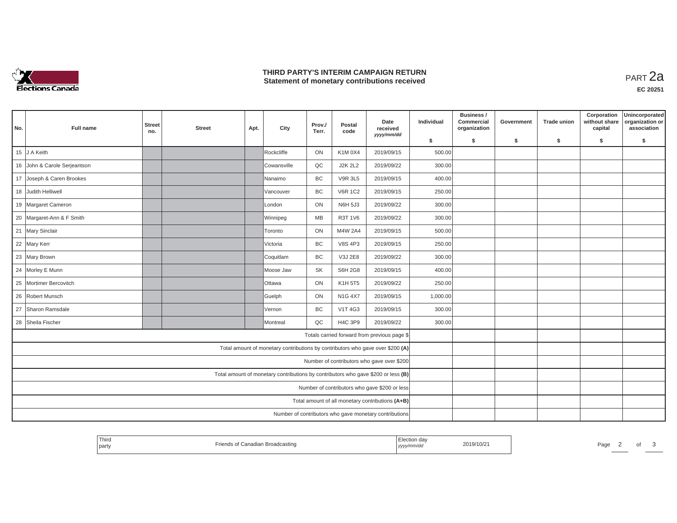

## **THIRD PARTY'S INTERIM CAMPAIGN RETURN THIRD PARTY'S INTERIM CAMPAIGN RETURN<br>Statement of monetary contributions received PART 2a**

| No. | Full name                    | <b>Street</b><br>no. | <b>Street</b> | Apt. | City                                                                              | Prov./<br>Terr. | Postal<br>code | Date<br>received<br>yyyy/mm/dd                         | Individual | Business /<br>Commercial<br>organization | Government | <b>Trade union</b> | Corporation<br>without share<br>capital | Unincorporated<br>organization or<br>association |
|-----|------------------------------|----------------------|---------------|------|-----------------------------------------------------------------------------------|-----------------|----------------|--------------------------------------------------------|------------|------------------------------------------|------------|--------------------|-----------------------------------------|--------------------------------------------------|
|     |                              |                      |               |      |                                                                                   |                 |                |                                                        | \$         | s.                                       | -\$        | -S                 | \$                                      | \$                                               |
|     | 15 J A Keith                 |                      |               |      | Rockcliffe                                                                        | ON              | K1M 0X4        | 2019/09/15                                             | 500.00     |                                          |            |                    |                                         |                                                  |
|     | 16 John & Carole Serjeantson |                      |               |      | <b>Cowansville</b>                                                                | QC              | <b>J2K 2L2</b> | 2019/09/22                                             | 300.00     |                                          |            |                    |                                         |                                                  |
|     | 17 Joseph & Caren Brookes    |                      |               |      | lNanaimo                                                                          | <b>BC</b>       | <b>V9R 3L5</b> | 2019/09/15                                             | 400.00     |                                          |            |                    |                                         |                                                  |
|     | 18 Judith Helliwell          |                      |               |      | Vancouver                                                                         | BC              | <b>V6R 1C2</b> | 2019/09/15                                             | 250.00     |                                          |            |                    |                                         |                                                  |
|     | 19 Margaret Cameron          |                      |               |      | London                                                                            | ON              | <b>N6H 5J3</b> | 2019/09/22                                             | 300.00     |                                          |            |                    |                                         |                                                  |
|     | 20 Margaret-Ann & F Smith    |                      |               |      | Winnipeg                                                                          | MB              | R3T 1V6        | 2019/09/22                                             | 300.00     |                                          |            |                    |                                         |                                                  |
|     | 21 Mary Sinclair             |                      |               |      | Toronto                                                                           | ON              | M4W 2A4        | 2019/09/15                                             | 500.00     |                                          |            |                    |                                         |                                                  |
|     | 22 Mary Kerr                 |                      |               |      | Victoria                                                                          | <b>BC</b>       | <b>V8S 4P3</b> | 2019/09/15                                             | 250.00     |                                          |            |                    |                                         |                                                  |
|     | 23 Mary Brown                |                      |               |      | Coquitlam                                                                         | <b>BC</b>       | V3J 2E8        | 2019/09/22                                             | 300.00     |                                          |            |                    |                                         |                                                  |
|     | 24 Morley E Munn             |                      |               |      | Moose Jaw                                                                         | <b>SK</b>       | <b>S6H 2G8</b> | 2019/09/15                                             | 400.00     |                                          |            |                    |                                         |                                                  |
|     | 25 Mortimer Bercovitch       |                      |               |      | lOttawa                                                                           | ON              | K1H 5T5        | 2019/09/22                                             | 250.00     |                                          |            |                    |                                         |                                                  |
|     | 26 Robert Munsch             |                      |               |      | Guelph                                                                            | ON              | <b>N1G 4X7</b> | 2019/09/15                                             | 1,000.00   |                                          |            |                    |                                         |                                                  |
|     | 27 Sharon Ramsdale           |                      |               |      | lVernon                                                                           | <b>BC</b>       | V1T 4G3        | 2019/09/15                                             | 300.00     |                                          |            |                    |                                         |                                                  |
|     | 28 Sheila Fischer            |                      |               |      | Montreal                                                                          | QC              | <b>H4C 3P9</b> | 2019/09/22                                             | 300.00     |                                          |            |                    |                                         |                                                  |
|     |                              |                      |               |      |                                                                                   |                 |                | Totals carried forward from previous page \$           |            |                                          |            |                    |                                         |                                                  |
|     |                              |                      |               |      | Total amount of monetary contributions by contributors who gave over \$200 (A)    |                 |                |                                                        |            |                                          |            |                    |                                         |                                                  |
|     |                              |                      |               |      |                                                                                   |                 |                | Number of contributors who gave over \$200             |            |                                          |            |                    |                                         |                                                  |
|     |                              |                      |               |      | Total amount of monetary contributions by contributors who gave \$200 or less (B) |                 |                |                                                        |            |                                          |            |                    |                                         |                                                  |
|     |                              |                      |               |      |                                                                                   |                 |                | Number of contributors who gave \$200 or less          |            |                                          |            |                    |                                         |                                                  |
|     |                              |                      |               |      |                                                                                   |                 |                | Total amount of all monetary contributions (A+B)       |            |                                          |            |                    |                                         |                                                  |
|     |                              |                      |               |      |                                                                                   |                 |                | Number of contributors who gave monetary contributions |            |                                          |            |                    |                                         |                                                  |

| <sup>1</sup> Third<br>party | $ -$<br>f Canadian Broadcasting | ≞lection da∖<br>yyyy/mm/aa | 2019/10/2 | Page |  |  |
|-----------------------------|---------------------------------|----------------------------|-----------|------|--|--|
|                             |                                 |                            |           |      |  |  |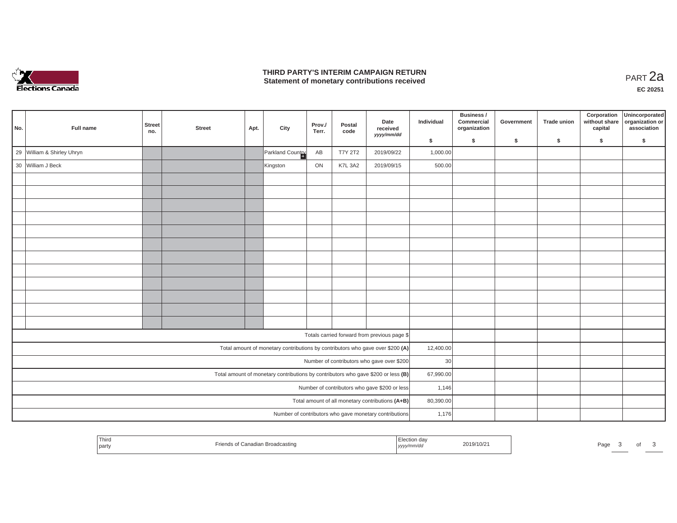

## **THIRD PARTY'S INTERIM CAMPAIGN RETURN THIRD PARTY'S INTERIM CAMPAIGN RETURN<br>Statement of monetary contributions received PART 2a**

| No.                                           | Full name                  | <b>Street</b><br>no.                                                                             | <b>Street</b> | Apt. | City             | Prov./<br>Terr. | Postal<br>code | Date<br>received<br>yyyy/mm/dd                                                 | Individual | Business /<br>Commercial<br>organization | Government | <b>Trade union</b> | Corporation<br>without share<br>capital | Unincorporated<br>organization or<br>association |
|-----------------------------------------------|----------------------------|--------------------------------------------------------------------------------------------------|---------------|------|------------------|-----------------|----------------|--------------------------------------------------------------------------------|------------|------------------------------------------|------------|--------------------|-----------------------------------------|--------------------------------------------------|
|                                               |                            |                                                                                                  |               |      |                  |                 |                |                                                                                | \$         | \$                                       | \$         | -S                 | \$                                      | \$                                               |
|                                               | 29 William & Shirley Uhryn |                                                                                                  |               |      | Parkland Country | AB              | <b>T7Y 2T2</b> | 2019/09/22                                                                     | 1,000.00   |                                          |            |                    |                                         |                                                  |
|                                               | 30 William J Beck          |                                                                                                  |               |      | Kingston         | ON              | K7L 3A2        | 2019/09/15                                                                     | 500.00     |                                          |            |                    |                                         |                                                  |
|                                               |                            |                                                                                                  |               |      |                  |                 |                |                                                                                |            |                                          |            |                    |                                         |                                                  |
|                                               |                            |                                                                                                  |               |      |                  |                 |                |                                                                                |            |                                          |            |                    |                                         |                                                  |
|                                               |                            |                                                                                                  |               |      |                  |                 |                |                                                                                |            |                                          |            |                    |                                         |                                                  |
|                                               |                            |                                                                                                  |               |      |                  |                 |                |                                                                                |            |                                          |            |                    |                                         |                                                  |
|                                               |                            |                                                                                                  |               |      |                  |                 |                |                                                                                |            |                                          |            |                    |                                         |                                                  |
|                                               |                            |                                                                                                  |               |      |                  |                 |                |                                                                                |            |                                          |            |                    |                                         |                                                  |
|                                               |                            |                                                                                                  |               |      |                  |                 |                |                                                                                |            |                                          |            |                    |                                         |                                                  |
|                                               |                            |                                                                                                  |               |      |                  |                 |                |                                                                                |            |                                          |            |                    |                                         |                                                  |
|                                               |                            |                                                                                                  |               |      |                  |                 |                |                                                                                |            |                                          |            |                    |                                         |                                                  |
|                                               |                            |                                                                                                  |               |      |                  |                 |                |                                                                                |            |                                          |            |                    |                                         |                                                  |
|                                               |                            |                                                                                                  |               |      |                  |                 |                |                                                                                |            |                                          |            |                    |                                         |                                                  |
|                                               |                            |                                                                                                  |               |      |                  |                 |                |                                                                                |            |                                          |            |                    |                                         |                                                  |
|                                               |                            |                                                                                                  |               |      |                  |                 |                | Totals carried forward from previous page \$                                   |            |                                          |            |                    |                                         |                                                  |
|                                               |                            |                                                                                                  |               |      |                  |                 |                | Total amount of monetary contributions by contributors who gave over \$200 (A) | 12,400.00  |                                          |            |                    |                                         |                                                  |
|                                               |                            |                                                                                                  |               |      |                  |                 |                | Number of contributors who gave over \$200                                     | 30         |                                          |            |                    |                                         |                                                  |
|                                               |                            | Total amount of monetary contributions by contributors who gave \$200 or less $(B)$<br>67,990.00 |               |      |                  |                 |                |                                                                                |            |                                          |            |                    |                                         |                                                  |
| Number of contributors who gave \$200 or less |                            |                                                                                                  |               |      |                  |                 |                |                                                                                | 1,146      |                                          |            |                    |                                         |                                                  |
|                                               |                            |                                                                                                  |               |      |                  |                 |                | Total amount of all monetary contributions (A+B)                               | 80,390.00  |                                          |            |                    |                                         |                                                  |
|                                               |                            |                                                                                                  |               |      |                  |                 |                | Number of contributors who gave monetary contributions                         | 1,176      |                                          |            |                    |                                         |                                                  |

| Third<br>ın aa<br>l party<br>,,,,,<br>1111. | 2019/10/21 | Pagu |  |  |  |
|---------------------------------------------|------------|------|--|--|--|
|---------------------------------------------|------------|------|--|--|--|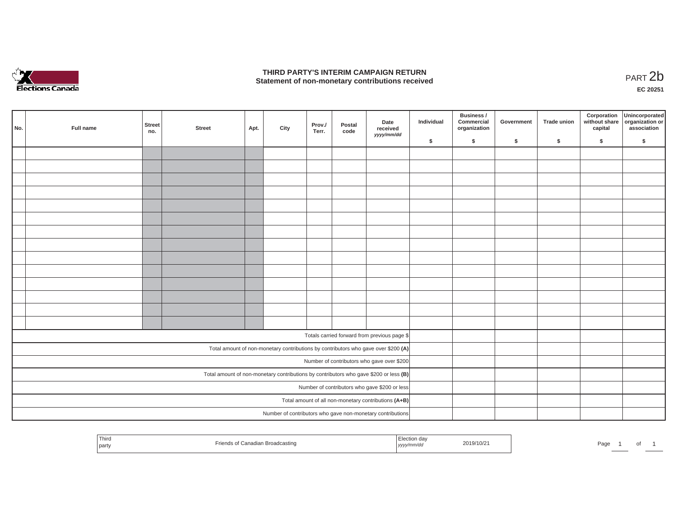

## **THIRD PARTY'S INTERIM CAMPAIGN RETURN**  THIRD PARTY'S INTERIM CAMPAIGN RETURN<br>Statement of non-monetary contributions received<br>**PART 2**b

**EC 20251**

|                                                      | No. | Full name | Street<br>no. | <b>Street</b> | Apt. | City | Prov./<br>Terr. | Postal<br>code | Date<br>received<br>yyyy/mm/dd                                                        | Individual | Business /<br>Commercial<br>organization | Government | <b>Trade union</b> | Corporation<br>capital | Unincorporated<br>without share organization or<br>association |
|------------------------------------------------------|-----|-----------|---------------|---------------|------|------|-----------------|----------------|---------------------------------------------------------------------------------------|------------|------------------------------------------|------------|--------------------|------------------------|----------------------------------------------------------------|
|                                                      |     |           |               |               |      |      |                 |                |                                                                                       | \$         | \$                                       | \$         | \$                 | \$                     | \$                                                             |
|                                                      |     |           |               |               |      |      |                 |                |                                                                                       |            |                                          |            |                    |                        |                                                                |
|                                                      |     |           |               |               |      |      |                 |                |                                                                                       |            |                                          |            |                    |                        |                                                                |
|                                                      |     |           |               |               |      |      |                 |                |                                                                                       |            |                                          |            |                    |                        |                                                                |
|                                                      |     |           |               |               |      |      |                 |                |                                                                                       |            |                                          |            |                    |                        |                                                                |
|                                                      |     |           |               |               |      |      |                 |                |                                                                                       |            |                                          |            |                    |                        |                                                                |
|                                                      |     |           |               |               |      |      |                 |                |                                                                                       |            |                                          |            |                    |                        |                                                                |
|                                                      |     |           |               |               |      |      |                 |                |                                                                                       |            |                                          |            |                    |                        |                                                                |
|                                                      |     |           |               |               |      |      |                 |                |                                                                                       |            |                                          |            |                    |                        |                                                                |
|                                                      |     |           |               |               |      |      |                 |                |                                                                                       |            |                                          |            |                    |                        |                                                                |
|                                                      |     |           |               |               |      |      |                 |                |                                                                                       |            |                                          |            |                    |                        |                                                                |
|                                                      |     |           |               |               |      |      |                 |                |                                                                                       |            |                                          |            |                    |                        |                                                                |
|                                                      |     |           |               |               |      |      |                 |                |                                                                                       |            |                                          |            |                    |                        |                                                                |
|                                                      |     |           |               |               |      |      |                 |                |                                                                                       |            |                                          |            |                    |                        |                                                                |
|                                                      |     |           |               |               |      |      |                 |                |                                                                                       |            |                                          |            |                    |                        |                                                                |
|                                                      |     |           |               |               |      |      |                 |                | Totals carried forward from previous page \$                                          |            |                                          |            |                    |                        |                                                                |
|                                                      |     |           |               |               |      |      |                 |                | Total amount of non-monetary contributions by contributors who gave over \$200 (A)    |            |                                          |            |                    |                        |                                                                |
|                                                      |     |           |               |               |      |      |                 |                | Number of contributors who gave over \$200                                            |            |                                          |            |                    |                        |                                                                |
|                                                      |     |           |               |               |      |      |                 |                | Total amount of non-monetary contributions by contributors who gave \$200 or less (B) |            |                                          |            |                    |                        |                                                                |
| Number of contributors who gave \$200 or less        |     |           |               |               |      |      |                 |                |                                                                                       |            |                                          |            |                    |                        |                                                                |
| Total amount of all non-monetary contributions (A+B) |     |           |               |               |      |      |                 |                |                                                                                       |            |                                          |            |                    |                        |                                                                |
|                                                      |     |           |               |               |      |      |                 |                | Number of contributors who gave non-monetary contributions                            |            |                                          |            |                    |                        |                                                                |

| Third<br>party | วรtinเ | ,,,, | 2019/10/2 | Page |  | $\cdot$ |  |
|----------------|--------|------|-----------|------|--|---------|--|
|----------------|--------|------|-----------|------|--|---------|--|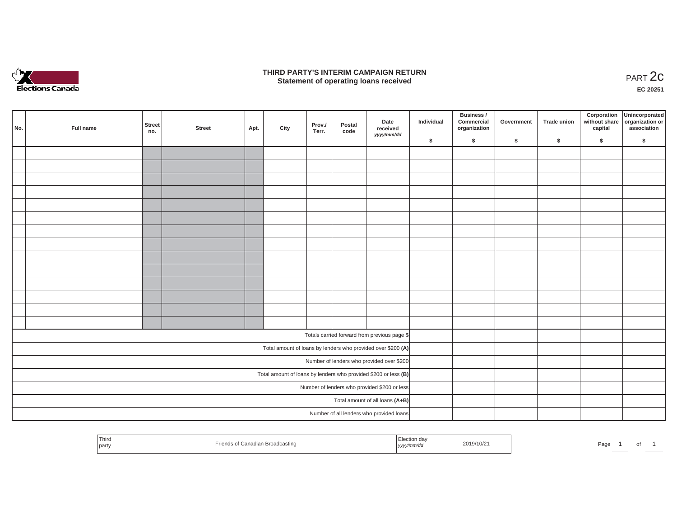

#### **THIRD PARTY'S INTERIM CAMPAIGN RETURN**  RD PARTY'S INTERIM CAMPAIGN RETURN<br>Statement of operating loans received **PART 2c**

**EC 20251**

| No. | Full name | <b>Street</b><br>no. | <b>Street</b> | Apt. | City | Prov./<br>Terr. | Postal<br>code | Date<br>received<br>yyyy/mm/dd                                    | Individual | Business /<br>Commercial<br>organization | Government | Trade union | Corporation<br>capital | Unincorporated<br>without share organization or<br>association |
|-----|-----------|----------------------|---------------|------|------|-----------------|----------------|-------------------------------------------------------------------|------------|------------------------------------------|------------|-------------|------------------------|----------------------------------------------------------------|
|     |           |                      |               |      |      |                 |                |                                                                   | \$         | $\sqrt{2}$                               | \$         | $\sqrt{2}$  | \$                     | \$                                                             |
|     |           |                      |               |      |      |                 |                |                                                                   |            |                                          |            |             |                        |                                                                |
|     |           |                      |               |      |      |                 |                |                                                                   |            |                                          |            |             |                        |                                                                |
|     |           |                      |               |      |      |                 |                |                                                                   |            |                                          |            |             |                        |                                                                |
|     |           |                      |               |      |      |                 |                |                                                                   |            |                                          |            |             |                        |                                                                |
|     |           |                      |               |      |      |                 |                |                                                                   |            |                                          |            |             |                        |                                                                |
|     |           |                      |               |      |      |                 |                |                                                                   |            |                                          |            |             |                        |                                                                |
|     |           |                      |               |      |      |                 |                |                                                                   |            |                                          |            |             |                        |                                                                |
|     |           |                      |               |      |      |                 |                |                                                                   |            |                                          |            |             |                        |                                                                |
|     |           |                      |               |      |      |                 |                |                                                                   |            |                                          |            |             |                        |                                                                |
|     |           |                      |               |      |      |                 |                |                                                                   |            |                                          |            |             |                        |                                                                |
|     |           |                      |               |      |      |                 |                |                                                                   |            |                                          |            |             |                        |                                                                |
|     |           |                      |               |      |      |                 |                |                                                                   |            |                                          |            |             |                        |                                                                |
|     |           |                      |               |      |      |                 |                |                                                                   |            |                                          |            |             |                        |                                                                |
|     |           |                      |               |      |      |                 |                |                                                                   |            |                                          |            |             |                        |                                                                |
|     |           |                      |               |      |      |                 |                | Totals carried forward from previous page \$                      |            |                                          |            |             |                        |                                                                |
|     |           |                      |               |      |      |                 |                | Total amount of loans by lenders who provided over \$200 (A)      |            |                                          |            |             |                        |                                                                |
|     |           |                      |               |      |      |                 |                | Number of lenders who provided over \$200                         |            |                                          |            |             |                        |                                                                |
|     |           |                      |               |      |      |                 |                | Total amount of loans by lenders who provided \$200 or less $(B)$ |            |                                          |            |             |                        |                                                                |
|     |           |                      |               |      |      |                 |                | Number of lenders who provided \$200 or less                      |            |                                          |            |             |                        |                                                                |
|     |           |                      |               |      |      |                 |                | Total amount of all loans (A+B)                                   |            |                                          |            |             |                        |                                                                |
|     |           |                      |               |      |      |                 |                | Number of all lenders who provided loans                          |            |                                          |            |             |                        |                                                                |

| Thira<br>I Election day<br>2019/10/2<br>nds of Canadian Broadcasting<br>yyyy/mm/dd<br>party | Page |  |  |  |
|---------------------------------------------------------------------------------------------|------|--|--|--|
|---------------------------------------------------------------------------------------------|------|--|--|--|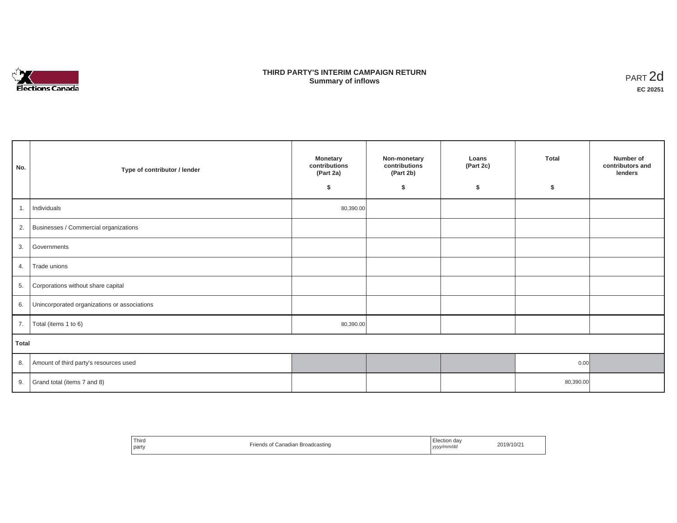

## **THIRD PARTY'S INTERIM CAMPAIGN RETURN SUMMARY STATE SUMMARY OF A SUMMARY OF A SUMMARY OF A SUMMARY OF A SUMMARY OF A SUMMARY OF A SUMMARY OF A SUMMA**<br> **Summary of inflows**

| No.   | Type of contributor / lender                    | <b>Monetary</b><br>contributions<br>(Part 2a)<br>s. | Non-monetary<br>contributions<br>(Part 2b)<br>\$ | Loans<br>(Part 2c)<br>\$ | <b>Total</b><br>\$ | Number of<br>contributors and<br>lenders |
|-------|-------------------------------------------------|-----------------------------------------------------|--------------------------------------------------|--------------------------|--------------------|------------------------------------------|
| 1.    | Individuals                                     | 80,390.00                                           |                                                  |                          |                    |                                          |
|       | 2. Businesses / Commercial organizations        |                                                     |                                                  |                          |                    |                                          |
| 3.    | Governments                                     |                                                     |                                                  |                          |                    |                                          |
| 4.    | Trade unions                                    |                                                     |                                                  |                          |                    |                                          |
|       | 5. Corporations without share capital           |                                                     |                                                  |                          |                    |                                          |
|       | 6. Unincorporated organizations or associations |                                                     |                                                  |                          |                    |                                          |
| 7.    | Total (items 1 to 6)                            | 80,390.00                                           |                                                  |                          |                    |                                          |
| Total |                                                 |                                                     |                                                  |                          |                    |                                          |
|       | 8. Amount of third party's resources used       |                                                     |                                                  |                          | 0.00               |                                          |
|       | 9. Grand total (items $7$ and $8$ )             |                                                     |                                                  |                          | 80,390.00          |                                          |

| Third<br>party | -<br>Canadian Broadcasting | Election day<br>yyyy/mm/dd | 2019/10/21 |
|----------------|----------------------------|----------------------------|------------|
|----------------|----------------------------|----------------------------|------------|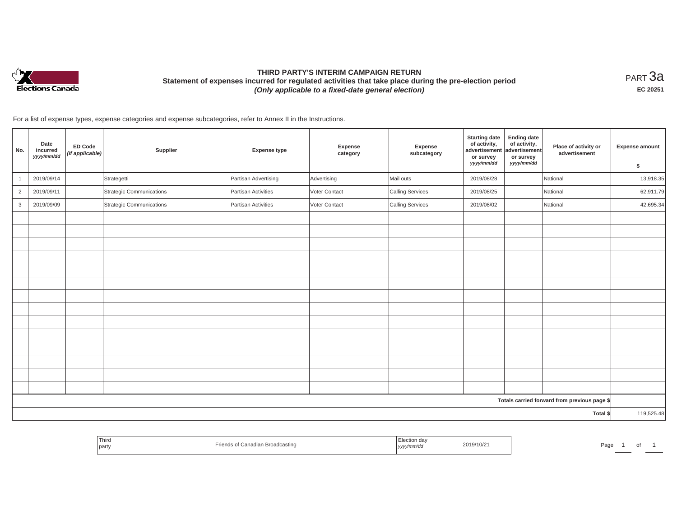

# **THIRD PARTY'S INTERIM CAMPAIGN RETURN Statement of expenses incurred for regulated activities that take place during the pre-election period**  *(Only applicable to a fixed-date general election)*

<code>PART $3$ a</code> **EC 20251**

| No.            | Date<br>incurred<br>yyyy/mm/dd | ED Code<br>(if applicable) | Supplier                 | <b>Expense type</b>  | Expense<br>category | Expense<br>subcategory | <b>Starting date</b><br>of activity,<br>advertisement<br>or survey<br>yyyy/mm/dd | <b>Ending date</b><br>of activity,<br>advertisement<br>or survey<br>yyyy/mm/dd | Place of activity or<br>advertisement        | <b>Expense amount</b><br>\$ |
|----------------|--------------------------------|----------------------------|--------------------------|----------------------|---------------------|------------------------|----------------------------------------------------------------------------------|--------------------------------------------------------------------------------|----------------------------------------------|-----------------------------|
| $\overline{1}$ | 2019/09/14                     |                            | Strategetti              | Partisan Advertising | Advertising         | Mail outs              | 2019/08/28                                                                       |                                                                                | National                                     | 13,918.35                   |
| $\overline{2}$ | 2019/09/11                     |                            | Strategic Communications | Partisan Activities  | Voter Contact       | Calling Services       | 2019/08/25                                                                       |                                                                                | National                                     | 62,911.79                   |
| 3              | 2019/09/09                     |                            | Strategic Communications | Partisan Activities  | Voter Contact       | Calling Services       | 2019/08/02                                                                       |                                                                                | National                                     | 42,695.34                   |
|                |                                |                            |                          |                      |                     |                        |                                                                                  |                                                                                |                                              |                             |
|                |                                |                            |                          |                      |                     |                        |                                                                                  |                                                                                |                                              |                             |
|                |                                |                            |                          |                      |                     |                        |                                                                                  |                                                                                |                                              |                             |
|                |                                |                            |                          |                      |                     |                        |                                                                                  |                                                                                |                                              |                             |
|                |                                |                            |                          |                      |                     |                        |                                                                                  |                                                                                |                                              |                             |
|                |                                |                            |                          |                      |                     |                        |                                                                                  |                                                                                |                                              |                             |
|                |                                |                            |                          |                      |                     |                        |                                                                                  |                                                                                |                                              |                             |
|                |                                |                            |                          |                      |                     |                        |                                                                                  |                                                                                |                                              |                             |
|                |                                |                            |                          |                      |                     |                        |                                                                                  |                                                                                |                                              |                             |
|                |                                |                            |                          |                      |                     |                        |                                                                                  |                                                                                |                                              |                             |
|                |                                |                            |                          |                      |                     |                        |                                                                                  |                                                                                |                                              |                             |
|                |                                |                            |                          |                      |                     |                        |                                                                                  |                                                                                |                                              |                             |
|                |                                |                            |                          |                      |                     |                        |                                                                                  |                                                                                |                                              |                             |
|                |                                |                            |                          |                      |                     |                        |                                                                                  |                                                                                |                                              |                             |
|                |                                |                            |                          |                      |                     |                        |                                                                                  |                                                                                | Totals carried forward from previous page \$ |                             |
|                |                                |                            |                          |                      |                     |                        |                                                                                  |                                                                                | Total \$                                     | 119,525.48                  |

| Third<br>l party | ls of Canadian Broadcasting | Election dav<br>2019/10/21<br>$\sim$ $\sim$<br>yyyy/mm/dd | Page |
|------------------|-----------------------------|-----------------------------------------------------------|------|
|------------------|-----------------------------|-----------------------------------------------------------|------|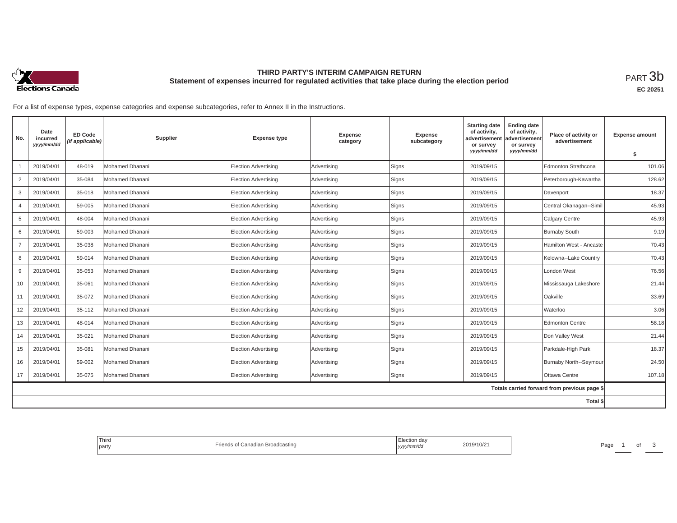

## **THIRD PARTY'S INTERIM CAMPAIGN RETURN Statement of expenses incurred for regulated activities that take place during the election period**<br>РАRТ  $3\mathrm{b}$

| No.            | Date<br>incurred<br>yyyy/mm/dd | <b>ED Code</b><br>(if applicable) | Supplier        | <b>Expense type</b>         | <b>Expense</b><br>category | <b>Expense</b><br>subcategory | <b>Starting date</b><br>of activity,<br>advertisement<br>or survey | <b>Ending date</b><br>of activity,<br>advertisement<br>or survey | Place of activity or<br>advertisement        | <b>Expense amount</b> |
|----------------|--------------------------------|-----------------------------------|-----------------|-----------------------------|----------------------------|-------------------------------|--------------------------------------------------------------------|------------------------------------------------------------------|----------------------------------------------|-----------------------|
|                |                                |                                   |                 |                             |                            |                               | yyyy/mm/dd                                                         | yyyy/mm/dd                                                       |                                              | \$                    |
|                | 2019/04/01                     | 48-019                            | Mohamed Dhanani | <b>Election Advertising</b> | Advertising                | Signs                         | 2019/09/15                                                         |                                                                  | Edmonton Strathcona                          | 101.06                |
| $\overline{2}$ | 2019/04/01                     | 35-084                            | Mohamed Dhanani | <b>Election Advertising</b> | Advertising                | Signs                         | 2019/09/15                                                         |                                                                  | Peterborough-Kawartha                        | 128.62                |
| 3              | 2019/04/01                     | 35-018                            | Mohamed Dhanani | <b>Election Advertising</b> | Advertising                | Signs                         | 2019/09/15                                                         |                                                                  | Davenport                                    | 18.37                 |
| $\overline{4}$ | 2019/04/01                     | 59-005                            | Mohamed Dhanani | <b>Election Advertising</b> | Advertising                | Signs                         | 2019/09/15                                                         |                                                                  | Central Okanagan--Simil                      | 45.93                 |
| 5              | 2019/04/01                     | 48-004                            | Mohamed Dhanani | Election Advertising        | Advertising                | Signs                         | 2019/09/15                                                         |                                                                  | Calgary Centre                               | 45.93                 |
| 6              | 2019/04/01                     | 59-003                            | Mohamed Dhanani | Election Advertising        | Advertising                | Signs                         | 2019/09/15                                                         |                                                                  | <b>Burnaby South</b>                         | 9.19                  |
|                | 2019/04/01                     | 35-038                            | Mohamed Dhanani | <b>Election Advertising</b> | Advertising                | Signs                         | 2019/09/15                                                         |                                                                  | Hamilton West - Ancaste                      | 70.43                 |
| 8              | 2019/04/01                     | 59-014                            | Mohamed Dhanani | <b>Election Advertising</b> | Advertising                | Signs                         | 2019/09/15                                                         |                                                                  | Kelowna--Lake Country                        | 70.43                 |
| 9              | 2019/04/01                     | 35-053                            | Mohamed Dhanani | <b>Election Advertising</b> | Advertising                | Signs                         | 2019/09/15                                                         |                                                                  | London West                                  | 76.56                 |
| 10             | 2019/04/01                     | 35-061                            | Mohamed Dhanani | Election Advertising        | Advertising                | Signs                         | 2019/09/15                                                         |                                                                  | Mississauga Lakeshore                        | 21.44                 |
| 11             | 2019/04/01                     | 35-072                            | Mohamed Dhanani | <b>Election Advertising</b> | Advertising                | Signs                         | 2019/09/15                                                         |                                                                  | Oakville                                     | 33.69                 |
| 12             | 2019/04/01                     | 35-112                            | Mohamed Dhanani | <b>Election Advertising</b> | Advertising                | Signs                         | 2019/09/15                                                         |                                                                  | Waterloo                                     | 3.06                  |
| 13             | 2019/04/01                     | 48-014                            | Mohamed Dhanani | Election Advertising        | Advertising                | Signs                         | 2019/09/15                                                         |                                                                  | <b>Edmonton Centre</b>                       | 58.18                 |
| 14             | 2019/04/01                     | 35-021                            | Mohamed Dhanani | Election Advertising        | Advertising                | Signs                         | 2019/09/15                                                         |                                                                  | Don Valley West                              | 21.44                 |
| 15             | 2019/04/01                     | 35-081                            | Mohamed Dhanani | Election Advertising        | Advertising                | Signs                         | 2019/09/15                                                         |                                                                  | Parkdale-High Park                           | 18.37                 |
| 16             | 2019/04/01                     | 59-002                            | Mohamed Dhanani | <b>Election Advertising</b> | Advertising                | Signs                         | 2019/09/15                                                         |                                                                  | Burnaby North--Seymour                       | 24.50                 |
| 17             | 2019/04/01                     | 35-075                            | Mohamed Dhanani | Election Advertising        | Advertising                | Signs                         | 2019/09/15                                                         |                                                                  | Ottawa Centre                                | 107.18                |
|                |                                |                                   |                 |                             |                            |                               |                                                                    |                                                                  | Totals carried forward from previous page \$ |                       |
|                |                                |                                   |                 |                             |                            |                               |                                                                    |                                                                  | Total \$                                     |                       |

| Third<br>adcastino<br>nagian Broad<br>l partv<br>110 F | l Ud<br>ົ <sup>າ19/10/</sup> ∠ົ<br><i>iriva</i><br>, уууу | Page |
|--------------------------------------------------------|-----------------------------------------------------------|------|
|--------------------------------------------------------|-----------------------------------------------------------|------|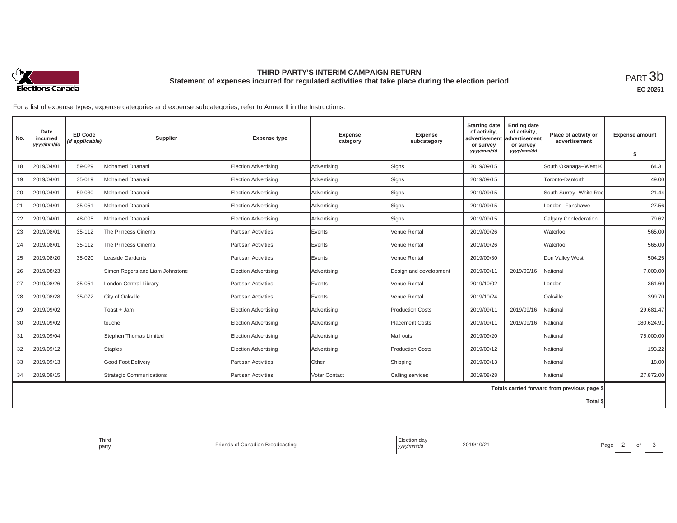

## **THIRD PARTY'S INTERIM CAMPAIGN RETURN Statement of expenses incurred for regulated activities that take place during the election period**<br>РАRТ  $3\mathrm{b}$

**EC 20251**

| No. | Date<br>incurred<br>yyyy/mm/dd | <b>ED Code</b><br>(if applicable) | Supplier                        | <b>Expense type</b>         | <b>Expense</b><br>category | <b>Expense</b><br>subcategory | <b>Starting date</b><br>of activity,<br>advertisement<br>or survey<br>yyyy/mm/dd | <b>Ending date</b><br>of activity,<br>advertisement<br>or survey<br>yyyy/mm/dd | Place of activity or<br>advertisement        | <b>Expense amount</b> |
|-----|--------------------------------|-----------------------------------|---------------------------------|-----------------------------|----------------------------|-------------------------------|----------------------------------------------------------------------------------|--------------------------------------------------------------------------------|----------------------------------------------|-----------------------|
|     |                                |                                   |                                 |                             |                            |                               |                                                                                  |                                                                                |                                              | \$                    |
| 18  | 2019/04/01                     | 59-029                            | Mohamed Dhanani                 | <b>Election Advertising</b> | Advertising                | Signs                         | 2019/09/15                                                                       |                                                                                | South Okanaga--West K                        | 64.31                 |
| 19  | 2019/04/01                     | 35-019                            | Mohamed Dhanani                 | Election Advertising        | Advertising                | Signs                         | 2019/09/15                                                                       |                                                                                | Toronto-Danforth                             | 49.00                 |
| 20  | 2019/04/01                     | 59-030                            | Mohamed Dhanani                 | Election Advertising        | Advertising                | Signs                         | 2019/09/15                                                                       |                                                                                | South Surrey--White Roc                      | 21.44                 |
| 21  | 2019/04/01                     | 35-051                            | Mohamed Dhanani                 | Election Advertising        | Advertising                | Signs                         | 2019/09/15                                                                       |                                                                                | London--Fanshawe                             | 27.56                 |
| 22  | 2019/04/01                     | 48-005                            | Mohamed Dhanani                 | Election Advertising        | Advertising                | Signs                         | 2019/09/15                                                                       |                                                                                | <b>Calgary Confederation</b>                 | 79.62                 |
| 23  | 2019/08/01                     | 35-112                            | The Princess Cinema             | <b>Partisan Activities</b>  | Events                     | Venue Rental                  | 2019/09/26                                                                       |                                                                                | Waterloo                                     | 565.00                |
| 24  | 2019/08/01                     | 35-112                            | The Princess Cinema             | Partisan Activities         | Events                     | Venue Rental                  | 2019/09/26                                                                       |                                                                                | Waterloo                                     | 565.00                |
| 25  | 2019/08/20                     | 35-020                            | Leaside Gardents                | Partisan Activities         | Events                     | Venue Rental                  | 2019/09/30                                                                       |                                                                                | Don Valley West                              | 504.25                |
| 26  | 2019/08/23                     |                                   | Simon Rogers and Liam Johnstone | <b>Election Advertising</b> | Advertising                | Design and development        | 2019/09/11                                                                       | 2019/09/16                                                                     | <b>National</b>                              | 7,000.00              |
| 27  | 2019/08/26                     | 35-051                            | London Central Library          | Partisan Activities         | Events                     | Venue Rental                  | 2019/10/02                                                                       |                                                                                | London                                       | 361.60                |
| 28  | 2019/08/28                     | 35-072                            | City of Oakville                | Partisan Activities         | Events                     | Venue Rental                  | 2019/10/24                                                                       |                                                                                | Oakville                                     | 399.70                |
| 29  | 2019/09/02                     |                                   | Toast + Jam                     | Election Advertising        | Advertising                | <b>Production Costs</b>       | 2019/09/11                                                                       | 2019/09/16                                                                     | National                                     | 29,681.47             |
| 30  | 2019/09/02                     |                                   | touché!                         | Election Advertising        | Advertising                | <b>Placement Costs</b>        | 2019/09/11                                                                       | 2019/09/16                                                                     | <b>National</b>                              | 180,624.91            |
| 31  | 2019/09/04                     |                                   | Stephen Thomas Limited          | Election Advertising        | Advertising                | Mail outs                     | 2019/09/20                                                                       |                                                                                | National                                     | 75,000.00             |
| 32  | 2019/09/12                     |                                   | <b>Staples</b>                  | Election Advertising        | Advertising                | <b>Production Costs</b>       | 2019/09/12                                                                       |                                                                                | National                                     | 193.22                |
| 33  | 2019/09/13                     |                                   | Good Foot Delivery              | Partisan Activities         | <b>Other</b>               | Shipping                      | 2019/09/13                                                                       |                                                                                | National                                     | 18.00                 |
| 34  | 2019/09/15                     |                                   | Strategic Communications        | <b>Partisan Activities</b>  | Voter Contact              | Calling services              | 2019/08/28                                                                       |                                                                                | National                                     | 27,872.00             |
|     |                                |                                   |                                 |                             |                            |                               |                                                                                  |                                                                                | Totals carried forward from previous page \$ |                       |
|     |                                |                                   |                                 |                             |                            |                               |                                                                                  |                                                                                | Total \$                                     |                       |

| Third<br>$ -$<br>Friends of<br>f Canadian Broadcasting<br>I party | Election day<br>2019/10/2<br>, yyyy/mm/dd | Page |
|-------------------------------------------------------------------|-------------------------------------------|------|
|-------------------------------------------------------------------|-------------------------------------------|------|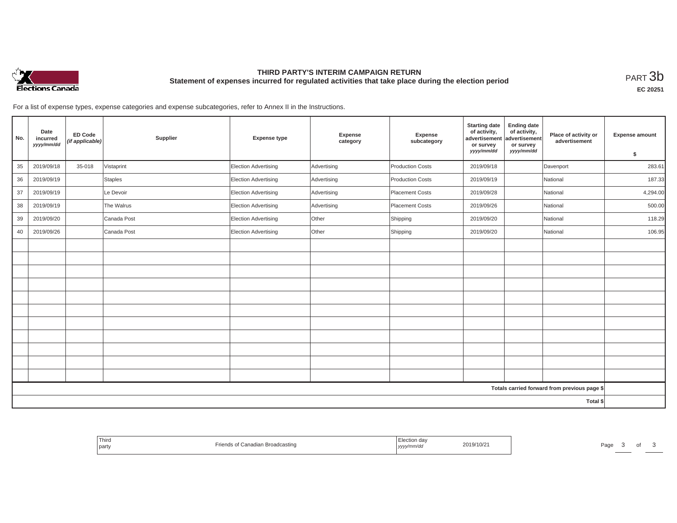

## **THIRD PARTY'S INTERIM CAMPAIGN RETURN Statement of expenses incurred for regulated activities that take place during the election period**<br>РАRТ  $3\mathrm{b}$

| No. | Date<br>incurred<br>yyyy/mm/dd | <b>ED Code</b><br>(if applicable) | Supplier       | <b>Expense type</b>  | Expense<br>category | Expense<br>subcategory  | <b>Starting date</b><br>of activity,<br>advertisement<br>or survey<br>yyyy/mm/dd | <b>Ending date</b><br>of activity,<br>advertisement<br>or survey<br>yyyy/mm/dd | Place of activity or<br>advertisement        | Expense amount<br>\$ |
|-----|--------------------------------|-----------------------------------|----------------|----------------------|---------------------|-------------------------|----------------------------------------------------------------------------------|--------------------------------------------------------------------------------|----------------------------------------------|----------------------|
| 35  | 2019/09/18                     | 35-018                            | Vistaprint     | Election Advertising | Advertising         | Production Costs        | 2019/09/18                                                                       |                                                                                | Davenport                                    | 283.61               |
| 36  | 2019/09/19                     |                                   | <b>Staples</b> | Election Advertising | Advertising         | <b>Production Costs</b> | 2019/09/19                                                                       |                                                                                | National                                     | 187.33               |
| 37  | 2019/09/19                     |                                   | Le Devoir      | Election Advertising | Advertising         | Placement Costs         | 2019/09/28                                                                       |                                                                                | National                                     | 4,294.00             |
| 38  | 2019/09/19                     |                                   | The Walrus     | Election Advertising | Advertising         | Placement Costs         | 2019/09/26                                                                       |                                                                                | National                                     | 500.00               |
| 39  | 2019/09/20                     |                                   | Canada Post    | Election Advertising | Other               | Shipping                | 2019/09/20                                                                       |                                                                                | National                                     | 118.29               |
| 40  | 2019/09/26                     |                                   | Canada Post    | Election Advertising | Other               | Shipping                | 2019/09/20                                                                       |                                                                                | National                                     | 106.95               |
|     |                                |                                   |                |                      |                     |                         |                                                                                  |                                                                                |                                              |                      |
|     |                                |                                   |                |                      |                     |                         |                                                                                  |                                                                                |                                              |                      |
|     |                                |                                   |                |                      |                     |                         |                                                                                  |                                                                                |                                              |                      |
|     |                                |                                   |                |                      |                     |                         |                                                                                  |                                                                                |                                              |                      |
|     |                                |                                   |                |                      |                     |                         |                                                                                  |                                                                                |                                              |                      |
|     |                                |                                   |                |                      |                     |                         |                                                                                  |                                                                                |                                              |                      |
|     |                                |                                   |                |                      |                     |                         |                                                                                  |                                                                                |                                              |                      |
|     |                                |                                   |                |                      |                     |                         |                                                                                  |                                                                                |                                              |                      |
|     |                                |                                   |                |                      |                     |                         |                                                                                  |                                                                                |                                              |                      |
|     |                                |                                   |                |                      |                     |                         |                                                                                  |                                                                                |                                              |                      |
|     |                                |                                   |                |                      |                     |                         |                                                                                  |                                                                                |                                              |                      |
|     |                                |                                   |                |                      |                     |                         |                                                                                  |                                                                                | Totals carried forward from previous page \$ |                      |
|     |                                |                                   |                |                      |                     |                         |                                                                                  |                                                                                | Total \$                                     |                      |

| Third<br>party | s of Canadian Broadcasting<br>rionc | , yyyy/mm/dd | 2019/10/21 | Page |  |  |
|----------------|-------------------------------------|--------------|------------|------|--|--|
|----------------|-------------------------------------|--------------|------------|------|--|--|